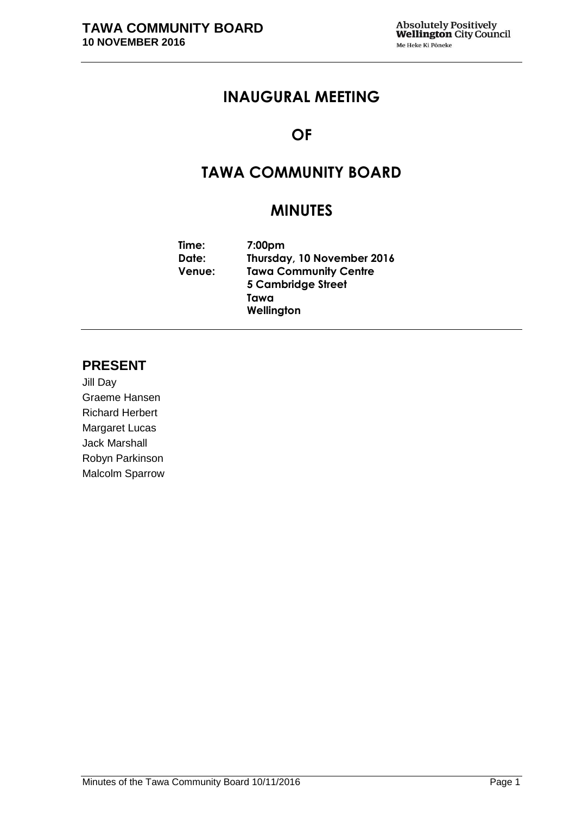# **INAUGURAL MEETING**

# **OF**

# **TAWA COMMUNITY BOARD**

# **MINUTES**

| Time:         | 7:00 <sub>pm</sub>           |  |
|---------------|------------------------------|--|
| Date:         | Thursday, 10 November 2016   |  |
| <b>Venue:</b> | <b>Tawa Community Centre</b> |  |
|               | <b>5 Cambridge Street</b>    |  |
|               | Tawa                         |  |
|               | Wellington                   |  |

# **PRESENT**

Jill Day Graeme Hansen Richard Herbert Margaret Lucas Jack Marshall Robyn Parkinson Malcolm Sparrow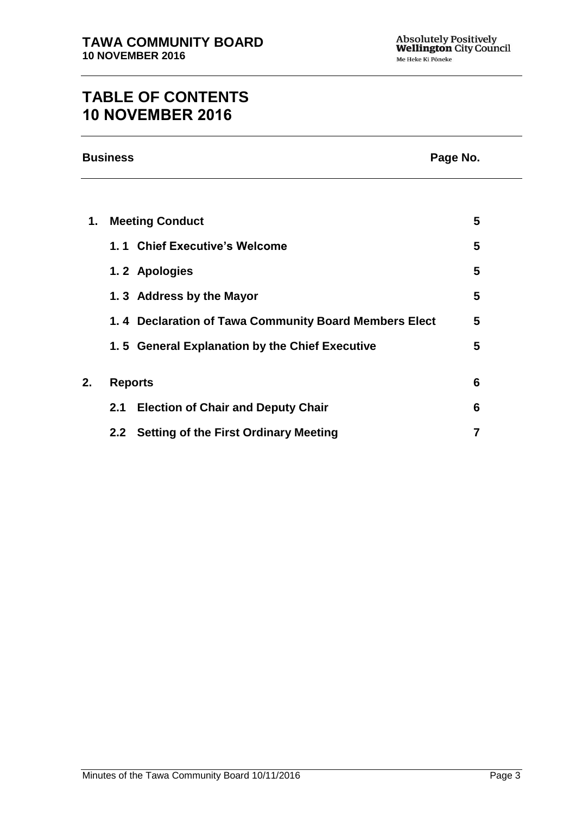# **TABLE OF CONTENTS 10 NOVEMBER 2016**

|    | <b>Business</b><br>Page No.                           |   |
|----|-------------------------------------------------------|---|
|    |                                                       |   |
| 1. | <b>Meeting Conduct</b>                                | 5 |
|    | 1.1 Chief Executive's Welcome                         | 5 |
|    | 1.2 Apologies                                         | 5 |
|    | 1.3 Address by the Mayor                              | 5 |
|    | 1.4 Declaration of Tawa Community Board Members Elect | 5 |
|    | 1.5 General Explanation by the Chief Executive        | 5 |
| 2. | <b>Reports</b>                                        | 6 |
|    | <b>Election of Chair and Deputy Chair</b><br>2.1      | 6 |
|    | <b>Setting of the First Ordinary Meeting</b><br>2.2   |   |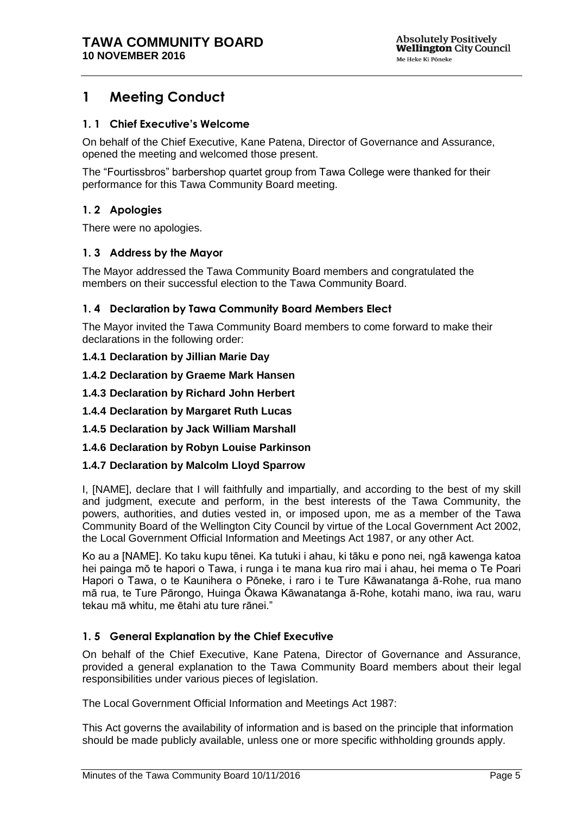# <span id="page-4-0"></span>**1 Meeting Conduct**

### <span id="page-4-1"></span>**1. 1 Chief Executive's Welcome**

On behalf of the Chief Executive, Kane Patena, Director of Governance and Assurance, opened the meeting and welcomed those present.

The "Fourtissbros" barbershop quartet group from Tawa College were thanked for their performance for this Tawa Community Board meeting.

## <span id="page-4-2"></span>**1. 2 Apologies**

There were no apologies.

### <span id="page-4-3"></span>**1. 3 Address by the Mayor**

The Mayor addressed the Tawa Community Board members and congratulated the members on their successful election to the Tawa Community Board.

### <span id="page-4-5"></span>**1. 4 Declaration by Tawa Community Board Members Elect**

The Mayor invited the Tawa Community Board members to come forward to make their declarations in the following order:

#### **1.4.1 Declaration by Jillian Marie Day**

**1.4.2 Declaration by Graeme Mark Hansen**

- **1.4.3 Declaration by Richard John Herbert**
- **1.4.4 Declaration by Margaret Ruth Lucas**
- **1.4.5 Declaration by Jack William Marshall**
- **1.4.6 Declaration by Robyn Louise Parkinson**
- **1.4.7 Declaration by Malcolm Lloyd Sparrow**

I, [NAME], declare that I will faithfully and impartially, and according to the best of my skill and judgment, execute and perform, in the best interests of the Tawa Community, the powers, authorities, and duties vested in, or imposed upon, me as a member of the Tawa Community Board of the Wellington City Council by virtue of the Local Government Act 2002, the Local Government Official Information and Meetings Act 1987, or any other Act.

Ko au a [NAME]. Ko taku kupu tēnei. Ka tutuki i ahau, ki tāku e pono nei, ngā kawenga katoa hei painga mō te hapori o Tawa, i runga i te mana kua riro mai i ahau, hei mema o Te Poari Hapori o Tawa, o te Kaunihera o Pōneke, i raro i te Ture Kāwanatanga ā-Rohe, rua mano mā rua, te Ture Pārongo, Huinga Ōkawa Kāwanatanga ā-Rohe, kotahi mano, iwa rau, waru tekau mā whitu, me ētahi atu ture rānei."

#### <span id="page-4-4"></span>**1. 5 General Explanation by the Chief Executive**

On behalf of the Chief Executive, Kane Patena, Director of Governance and Assurance, provided a general explanation to the Tawa Community Board members about their legal responsibilities under various pieces of legislation.

The Local Government Official Information and Meetings Act 1987:

This Act governs the availability of information and is based on the principle that information should be made publicly available, unless one or more specific withholding grounds apply.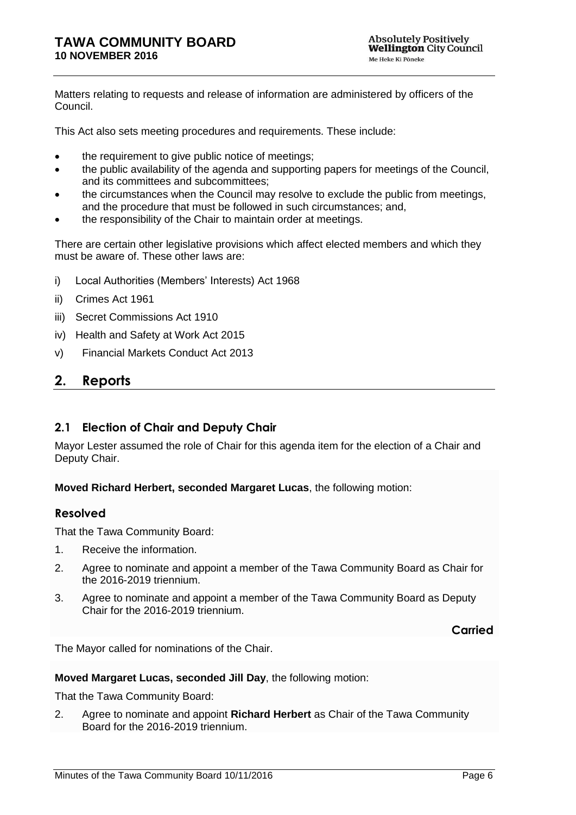Matters relating to requests and release of information are administered by officers of the Council.

This Act also sets meeting procedures and requirements. These include:

- the requirement to give public notice of meetings;
- the public availability of the agenda and supporting papers for meetings of the Council, and its committees and subcommittees;
- the circumstances when the Council may resolve to exclude the public from meetings, and the procedure that must be followed in such circumstances; and,
- the responsibility of the Chair to maintain order at meetings.

There are certain other legislative provisions which affect elected members and which they must be aware of. These other laws are:

- i) Local Authorities (Members' Interests) Act 1968
- ii) Crimes Act 1961
- iii) Secret Commissions Act 1910
- iv) Health and Safety at Work Act 2015
- v) Financial Markets Conduct Act 2013

## <span id="page-5-0"></span>**2. Reports**

## <span id="page-5-1"></span>**2.1 Election of Chair and Deputy Chair**

Mayor Lester assumed the role of Chair for this agenda item for the election of a Chair and Deputy Chair.

**Moved Richard Herbert, seconded Margaret Lucas**, the following motion:

## **Resolved**

That the Tawa Community Board:

- 1. Receive the information.
- 2. Agree to nominate and appoint a member of the Tawa Community Board as Chair for the 2016-2019 triennium.
- 3. Agree to nominate and appoint a member of the Tawa Community Board as Deputy Chair for the 2016-2019 triennium.

**Carried**

The Mayor called for nominations of the Chair.

#### **Moved Margaret Lucas, seconded Jill Day**, the following motion:

That the Tawa Community Board:

2. Agree to nominate and appoint **Richard Herbert** as Chair of the Tawa Community Board for the 2016-2019 triennium.